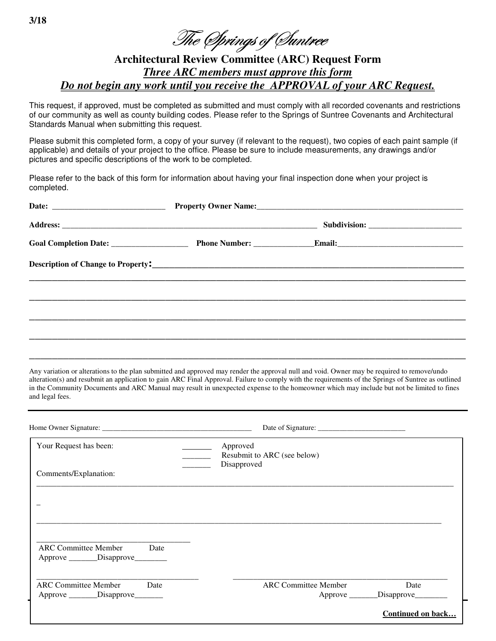The *Springs of Suntree* 

## **Architectural Review Committee (ARC) Request Form** Three ARC members must approve this form Do not begin any work until you receive the APPROVAL of your ARC Request.

This request, if approved, must be completed as submitted and must comply with all recorded covenants and restrictions of our community as well as county building codes. Please refer to the Springs of Suntree Covenants and Architectural Standards Manual when submitting this request.

Please submit this completed form, a copy of your survey (if relevant to the request), two copies of each paint sample (if applicable) and details of your project to the office. Please be sure to include measurements, any drawings and/or pictures and specific descriptions of the work to be completed.

Please refer to the back of this form for information about having your final inspection done when your project is completed.

|  | Property Owner Name: Name:                                                                    |  |  |  |
|--|-----------------------------------------------------------------------------------------------|--|--|--|
|  |                                                                                               |  |  |  |
|  |                                                                                               |  |  |  |
|  | Description of Change to Property:<br><u> Letting and the contract of Change to Property:</u> |  |  |  |
|  |                                                                                               |  |  |  |
|  |                                                                                               |  |  |  |
|  |                                                                                               |  |  |  |
|  |                                                                                               |  |  |  |

Any variation or alterations to the plan submitted and approved may render the approval null and void. Owner may be required to remove/undo alteration(s) and resubmit an application to gain ARC Final Approval. Failure to comply with the requirements of the Springs of Suntree as outlined in the Community Documents and ARC Manual may result in unexpected expense to the homeowner which may include but not be limited to fines and legal fees.

| Your Request has been:                                                      | Approved<br>Resubmit to ARC (see below)<br>Disapproved |                                    |
|-----------------------------------------------------------------------------|--------------------------------------------------------|------------------------------------|
| Comments/Explanation:                                                       |                                                        |                                    |
|                                                                             |                                                        |                                    |
|                                                                             |                                                        |                                    |
|                                                                             |                                                        |                                    |
| <b>ARC Committee Member</b><br>Date<br>Approve _________Disapprove_________ |                                                        |                                    |
| <b>ARC Committee Member</b><br>Date                                         | <b>ARC</b> Committee Member                            | Date                               |
| Approve ________Disapprove________                                          |                                                        | Approve ________Disapprove________ |
|                                                                             |                                                        | <b>Continued on back</b>           |